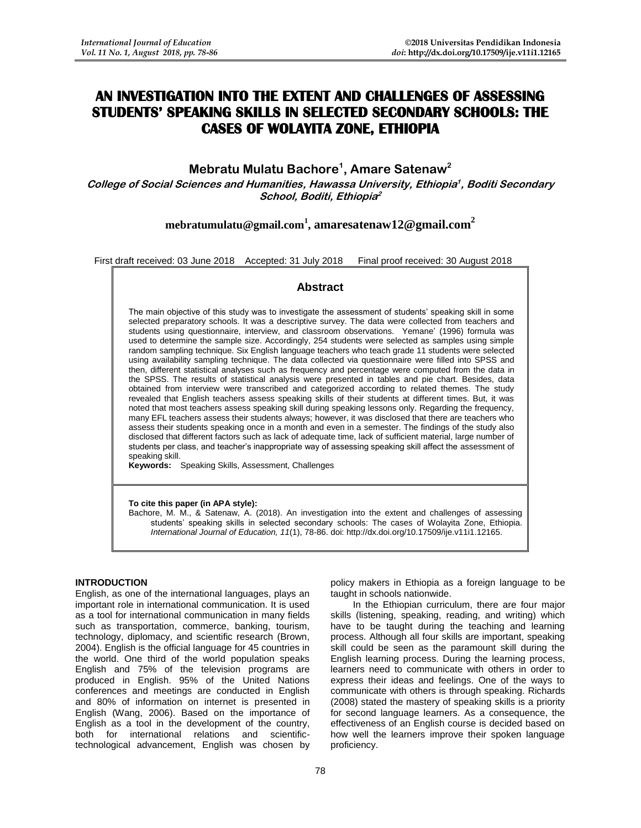# **AN INVESTIGATION INTO THE EXTENT AND CHALLENGES OF ASSESSING STUDENTS' SPEAKING SKILLS IN SELECTED SECONDARY SCHOOLS: THE CASES OF WOLAYITA ZONE, ETHIOPIA**

## **Mebratu Mulatu Bachore<sup>1</sup> , Amare Satenaw<sup>2</sup>**

**College of Social Sciences and Humanities, Hawassa University, Ethiopia 1 , Boditi Secondary School, Boditi, Ethiopia 2**

# **[mebratumulatu@gmail.com](mailto:mebratumulatu@gmail.com)<sup>1</sup> , amaresatenaw12@gmail.com<sup>2</sup>**

First draft received: 03 June 2018 Accepted: 31 July 2018 Final proof received: 30 August 2018

## **Abstract**

The main objective of this study was to investigate the assessment of students' speaking skill in some selected preparatory schools. It was a descriptive survey. The data were collected from teachers and students using questionnaire, interview, and classroom observations. Yemane' (1996) formula was used to determine the sample size. Accordingly, 254 students were selected as samples using simple random sampling technique. Six English language teachers who teach grade 11 students were selected using availability sampling technique. The data collected via questionnaire were filled into SPSS and then, different statistical analyses such as frequency and percentage were computed from the data in the SPSS. The results of statistical analysis were presented in tables and pie chart. Besides, data obtained from interview were transcribed and categorized according to related themes. The study revealed that English teachers assess speaking skills of their students at different times. But, it was noted that most teachers assess speaking skill during speaking lessons only. Regarding the frequency, many EFL teachers assess their students always; however, it was disclosed that there are teachers who assess their students speaking once in a month and even in a semester. The findings of the study also disclosed that different factors such as lack of adequate time, lack of sufficient material, large number of students per class, and teacher's inappropriate way of assessing speaking skill affect the assessment of speaking skill.

**Keywords:** Speaking Skills, Assessment, Challenges

### **To cite this paper (in APA style):**

Bachore, M. M., & Satenaw, A. (2018). An investigation into the extent and challenges of assessing students' speaking skills in selected secondary schools: The cases of Wolayita Zone, Ethiopia. *International Journal of Education, 11*(1), 78-86. doi: http://dx.doi.org/10.17509/ije.v11i1.12165.

#### **INTRODUCTION**

English, as one of the international languages, plays an important role in international communication. It is used as a tool for international communication in many fields such as transportation, commerce, banking, tourism, technology, diplomacy, and scientific research (Brown, 2004). English is the official language for 45 countries in the world. One third of the world population speaks English and 75% of the television programs are produced in English. 95% of the United Nations conferences and meetings are conducted in English and 80% of information on internet is presented in English (Wang, 2006). Based on the importance of English as a tool in the development of the country, both for international relations and scientifictechnological advancement, English was chosen by policy makers in Ethiopia as a foreign language to be taught in schools nationwide.

In the Ethiopian curriculum, there are four major skills (listening, speaking, reading, and writing) which have to be taught during the teaching and learning process. Although all four skills are important, speaking skill could be seen as the paramount skill during the English learning process. During the learning process, learners need to communicate with others in order to express their ideas and feelings. One of the ways to communicate with others is through speaking. Richards (2008) stated the mastery of speaking skills is a priority for second language learners. As a consequence, the effectiveness of an English course is decided based on how well the learners improve their spoken language proficiency.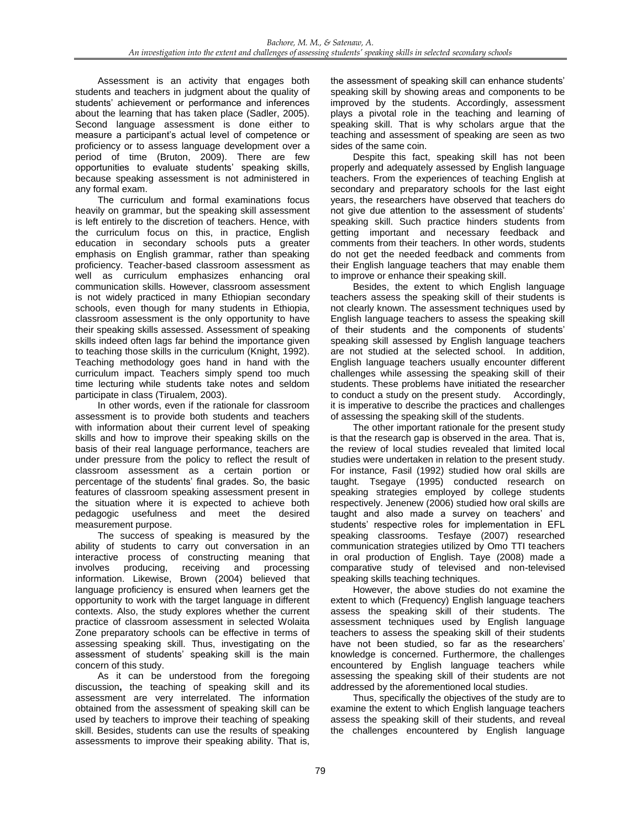Assessment is an activity that engages both students and teachers in judgment about the quality of students' achievement or performance and inferences about the learning that has taken place (Sadler, 2005). Second language assessment is done either to measure a participant's actual level of competence or proficiency or to assess language development over a period of time (Bruton, 2009). There are few opportunities to evaluate students' speaking skills, because speaking assessment is not administered in any formal exam.

The curriculum and formal examinations focus heavily on grammar, but the speaking skill assessment is left entirely to the discretion of teachers. Hence, with the curriculum focus on this, in practice, English education in secondary schools puts a greater emphasis on English grammar, rather than speaking proficiency. Teacher-based classroom assessment as well as curriculum emphasizes enhancing oral communication skills. However, classroom assessment is not widely practiced in many Ethiopian secondary schools, even though for many students in Ethiopia, classroom assessment is the only opportunity to have their speaking skills assessed. Assessment of speaking skills indeed often lags far behind the importance given to teaching those skills in the curriculum (Knight, 1992). Teaching methodology goes hand in hand with the curriculum impact. Teachers simply spend too much time lecturing while students take notes and seldom participate in class (Tirualem, 2003).

In other words, even if the rationale for classroom assessment is to provide both students and teachers with information about their current level of speaking skills and how to improve their speaking skills on the basis of their real language performance, teachers are under pressure from the policy to reflect the result of classroom assessment as a certain portion or percentage of the students' final grades. So, the basic features of classroom speaking assessment present in the situation where it is expected to achieve both pedagogic usefulness and meet the desired measurement purpose.

The success of speaking is measured by the ability of students to carry out conversation in an interactive process of constructing meaning that involves producing, receiving and processing information. Likewise, Brown (2004) believed that language proficiency is ensured when learners get the opportunity to work with the target language in different contexts. Also, the study explores whether the current practice of classroom assessment in selected Wolaita Zone preparatory schools can be effective in terms of assessing speaking skill. Thus, investigating on the assessment of students' speaking skill is the main concern of this study.

As it can be understood from the foregoing discussion**,** the teaching of speaking skill and its assessment are very interrelated. The information obtained from the assessment of speaking skill can be used by teachers to improve their teaching of speaking skill. Besides, students can use the results of speaking assessments to improve their speaking ability. That is,

the assessment of speaking skill can enhance students' speaking skill by showing areas and components to be improved by the students. Accordingly, assessment plays a pivotal role in the teaching and learning of speaking skill. That is why scholars argue that the teaching and assessment of speaking are seen as two sides of the same coin.

Despite this fact, speaking skill has not been properly and adequately assessed by English language teachers. From the experiences of teaching English at secondary and preparatory schools for the last eight years, the researchers have observed that teachers do not give due attention to the assessment of students' speaking skill. Such practice hinders students from getting important and necessary feedback and comments from their teachers. In other words, students do not get the needed feedback and comments from their English language teachers that may enable them to improve or enhance their speaking skill.

Besides, the extent to which English language teachers assess the speaking skill of their students is not clearly known. The assessment techniques used by English language teachers to assess the speaking skill of their students and the components of students' speaking skill assessed by English language teachers are not studied at the selected school. In addition, English language teachers usually encounter different challenges while assessing the speaking skill of their students. These problems have initiated the researcher to conduct a study on the present study. Accordingly, it is imperative to describe the practices and challenges of assessing the speaking skill of the students.

The other important rationale for the present study is that the research gap is observed in the area. That is, the review of local studies revealed that limited local studies were undertaken in relation to the present study. For instance*,* Fasil (1992) studied how oral skills are taught. Tsegaye (1995) conducted research on speaking strategies employed by college students respectively. Jenenew (2006) studied how oral skills are taught and also made a survey on teachers' and students' respective roles for implementation in EFL speaking classrooms. Tesfaye (2007) researched communication strategies utilized by Omo TTI teachers in oral production of English. Taye (2008) made a comparative study of televised and non-televised speaking skills teaching techniques.

However, the above studies do not examine the extent to which (Frequency) English language teachers assess the speaking skill of their students. The assessment techniques used by English language teachers to assess the speaking skill of their students have not been studied, so far as the researchers' knowledge is concerned. Furthermore, the challenges encountered by English language teachers while assessing the speaking skill of their students are not addressed by the aforementioned local studies.

Thus, specifically the objectives of the study are to examine the extent to which English language teachers assess the speaking skill of their students, and reveal the challenges encountered by English language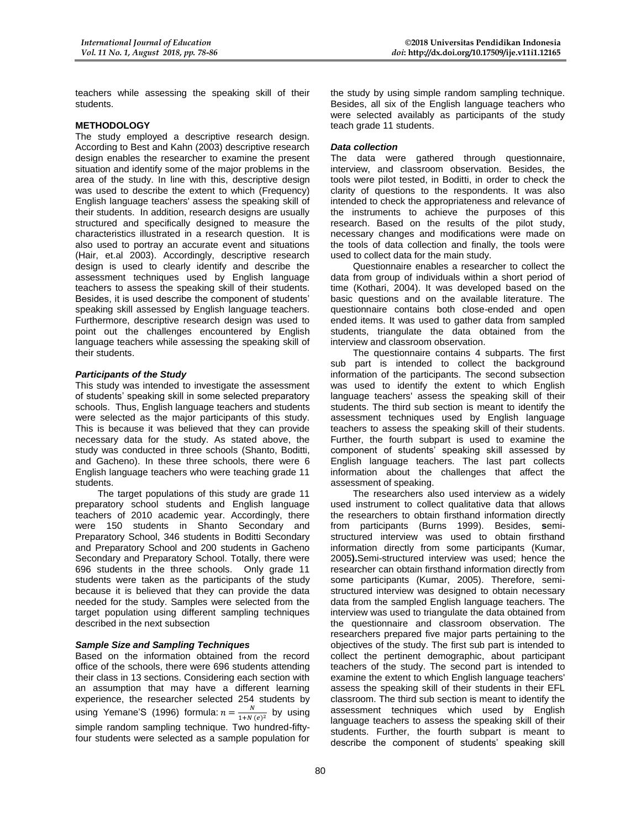teachers while assessing the speaking skill of their students.

#### **METHODOLOGY**

The study employed a descriptive research design. According to Best and Kahn (2003) descriptive research design enables the researcher to examine the present situation and identify some of the major problems in the area of the study. In line with this, descriptive design was used to describe the extent to which (Frequency) English language teachers' assess the speaking skill of their students. In addition, research designs are usually structured and specifically designed to measure the characteristics illustrated in a research question. It is also used to portray an accurate event and situations (Hair, et.al 2003). Accordingly, descriptive research design is used to clearly identify and describe the assessment techniques used by English language teachers to assess the speaking skill of their students. Besides, it is used describe the component of students' speaking skill assessed by English language teachers. Furthermore, descriptive research design was used to point out the challenges encountered by English language teachers while assessing the speaking skill of their students.

#### *Participants of the Study*

This study was intended to investigate the assessment of students' speaking skill in some selected preparatory schools. Thus, English language teachers and students were selected as the major participants of this study. This is because it was believed that they can provide necessary data for the study. As stated above, the study was conducted in three schools (Shanto, Boditti, and Gacheno). In these three schools, there were 6 English language teachers who were teaching grade 11 students.

The target populations of this study are grade 11 preparatory school students and English language teachers of 2010 academic year. Accordingly, there were 150 students in Shanto Secondary and Preparatory School, 346 students in Boditti Secondary and Preparatory School and 200 students in Gacheno Secondary and Preparatory School. Totally, there were 696 students in the three schools. Only grade 11 students were taken as the participants of the study because it is believed that they can provide the data needed for the study. Samples were selected from the target population using different sampling techniques described in the next subsection

#### *Sample Size and Sampling Techniques*

Based on the information obtained from the record office of the schools, there were 696 students attending their class in 13 sections. Considering each section with an assumption that may have a different learning experience, the researcher selected 254 students by using Yemane'S (1996) formula:  $n = \frac{N}{1 + N}$  $\frac{N}{1+N(e)^2}$  by using simple random sampling technique. Two hundred-fiftyfour students were selected as a sample population for

the study by using simple random sampling technique. Besides, all six of the English language teachers who were selected availably as participants of the study teach grade 11 students.

#### *Data collection*

The data were gathered through questionnaire, interview, and classroom observation. Besides, the tools were pilot tested, in Boditti, in order to check the clarity of questions to the respondents. It was also intended to check the appropriateness and relevance of the instruments to achieve the purposes of this research. Based on the results of the pilot study, necessary changes and modifications were made on the tools of data collection and finally, the tools were used to collect data for the main study.

Questionnaire enables a researcher to collect the data from group of individuals within a short period of time (Kothari, 2004). It was developed based on the basic questions and on the available literature. The questionnaire contains both close-ended and open ended items. It was used to gather data from sampled students, triangulate the data obtained from the interview and classroom observation.

The questionnaire contains 4 subparts. The first sub part is intended to collect the background information of the participants. The second subsection was used to identify the extent to which English language teachers' assess the speaking skill of their students. The third sub section is meant to identify the assessment techniques used by English language teachers to assess the speaking skill of their students. Further, the fourth subpart is used to examine the component of students' speaking skill assessed by English language teachers. The last part collects information about the challenges that affect the assessment of speaking.

The researchers also used interview as a widely used instrument to collect qualitative data that allows the researchers to obtain firsthand information directly from participants (Burns 1999). Besides, **s**emistructured interview was used to obtain firsthand information directly from some participants (Kumar, 2005**).**Semi-structured interview was used; hence the researcher can obtain firsthand information directly from some participants (Kumar, 2005). Therefore, semistructured interview was designed to obtain necessary data from the sampled English language teachers. The interview was used to triangulate the data obtained from the questionnaire and classroom observation. The researchers prepared five major parts pertaining to the objectives of the study. The first sub part is intended to collect the pertinent demographic, about participant teachers of the study. The second part is intended to examine the extent to which English language teachers' assess the speaking skill of their students in their EFL classroom. The third sub section is meant to identify the assessment techniques which used by English language teachers to assess the speaking skill of their students. Further, the fourth subpart is meant to describe the component of students' speaking skill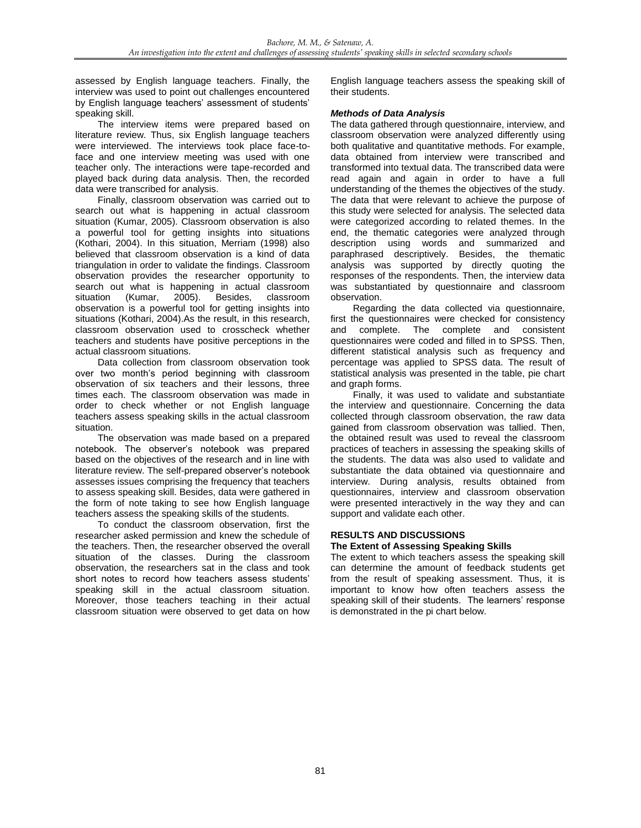assessed by English language teachers. Finally, the interview was used to point out challenges encountered by English language teachers' assessment of students' speaking skill.

The interview items were prepared based on literature review. Thus, six English language teachers were interviewed. The interviews took place face-toface and one interview meeting was used with one teacher only. The interactions were tape-recorded and played back during data analysis. Then, the recorded data were transcribed for analysis.

Finally, classroom observation was carried out to search out what is happening in actual classroom situation (Kumar, 2005). Classroom observation is also a powerful tool for getting insights into situations (Kothari, 2004). In this situation, Merriam (1998) also believed that classroom observation is a kind of data triangulation in order to validate the findings. Classroom observation provides the researcher opportunity to search out what is happening in actual classroom situation (Kumar, 2005). Besides, classroom observation is a powerful tool for getting insights into situations (Kothari, 2004).As the result, in this research, classroom observation used to crosscheck whether teachers and students have positive perceptions in the actual classroom situations.

Data collection from classroom observation took over two month's period beginning with classroom observation of six teachers and their lessons, three times each. The classroom observation was made in order to check whether or not English language teachers assess speaking skills in the actual classroom situation.

The observation was made based on a prepared notebook. The observer's notebook was prepared based on the objectives of the research and in line with literature review. The self-prepared observer's notebook assesses issues comprising the frequency that teachers to assess speaking skill. Besides, data were gathered in the form of note taking to see how English language teachers assess the speaking skills of the students.

To conduct the classroom observation, first the researcher asked permission and knew the schedule of the teachers. Then, the researcher observed the overall situation of the classes. During the classroom observation, the researchers sat in the class and took short notes to record how teachers assess students' speaking skill in the actual classroom situation. Moreover, those teachers teaching in their actual classroom situation were observed to get data on how

English language teachers assess the speaking skill of their students.

### *Methods of Data Analysis*

The data gathered through questionnaire, interview, and classroom observation were analyzed differently using both qualitative and quantitative methods. For example, data obtained from interview were transcribed and transformed into textual data. The transcribed data were read again and again in order to have a full understanding of the themes the objectives of the study. The data that were relevant to achieve the purpose of this study were selected for analysis. The selected data were categorized according to related themes. In the end, the thematic categories were analyzed through description using words and summarized and paraphrased descriptively. Besides, the thematic analysis was supported by directly quoting the responses of the respondents. Then, the interview data was substantiated by questionnaire and classroom observation.

Regarding the data collected via questionnaire, first the questionnaires were checked for consistency and complete. The complete and consistent questionnaires were coded and filled in to SPSS. Then, different statistical analysis such as frequency and percentage was applied to SPSS data. The result of statistical analysis was presented in the table, pie chart and graph forms.

Finally, it was used to validate and substantiate the interview and questionnaire. Concerning the data collected through classroom observation, the raw data gained from classroom observation was tallied. Then, the obtained result was used to reveal the classroom practices of teachers in assessing the speaking skills of the students. The data was also used to validate and substantiate the data obtained via questionnaire and interview. During analysis, results obtained from questionnaires, interview and classroom observation were presented interactively in the way they and can support and validate each other.

## **RESULTS AND DISCUSSIONS**

## **The Extent of Assessing Speaking Skills**

The extent to which teachers assess the speaking skill can determine the amount of feedback students get from the result of speaking assessment. Thus, it is important to know how often teachers assess the speaking skill of their students. The learners' response is demonstrated in the pi chart below.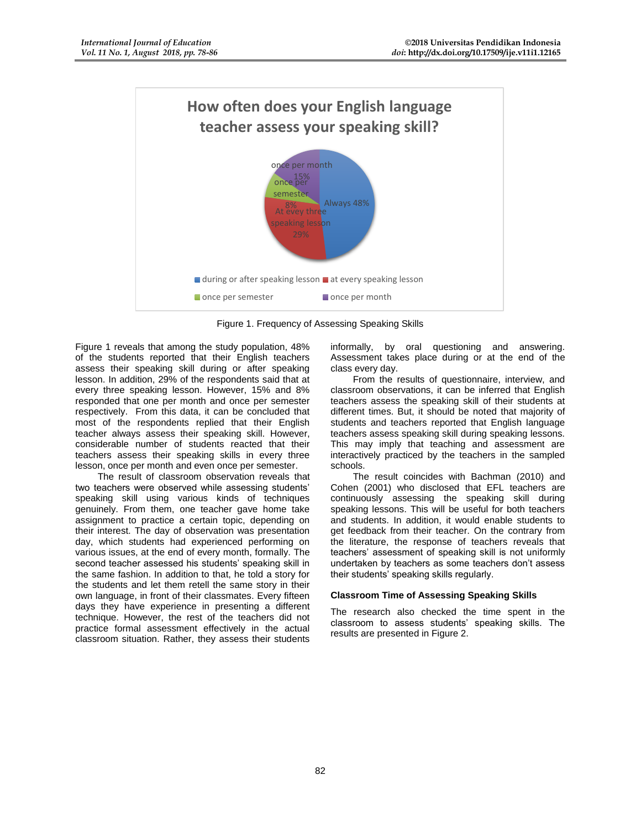

Figure 1. Frequency of Assessing Speaking Skills

Figure 1 reveals that among the study population, 48% of the students reported that their English teachers assess their speaking skill during or after speaking lesson. In addition, 29% of the respondents said that at every three speaking lesson. However, 15% and 8% responded that one per month and once per semester respectively. From this data, it can be concluded that most of the respondents replied that their English teacher always assess their speaking skill. However, considerable number of students reacted that their teachers assess their speaking skills in every three lesson, once per month and even once per semester.

The result of classroom observation reveals that two teachers were observed while assessing students' speaking skill using various kinds of techniques genuinely. From them, one teacher gave home take assignment to practice a certain topic, depending on their interest. The day of observation was presentation day, which students had experienced performing on various issues, at the end of every month, formally. The second teacher assessed his students' speaking skill in the same fashion. In addition to that, he told a story for the students and let them retell the same story in their own language, in front of their classmates. Every fifteen days they have experience in presenting a different technique. However, the rest of the teachers did not practice formal assessment effectively in the actual classroom situation. Rather, they assess their students

informally, by oral questioning and answering. Assessment takes place during or at the end of the class every day.

From the results of questionnaire, interview, and classroom observations, it can be inferred that English teachers assess the speaking skill of their students at different times. But, it should be noted that majority of students and teachers reported that English language teachers assess speaking skill during speaking lessons. This may imply that teaching and assessment are interactively practiced by the teachers in the sampled schools.

The result coincides with Bachman (2010) and Cohen (2001) who disclosed that EFL teachers are continuously assessing the speaking skill during speaking lessons. This will be useful for both teachers and students. In addition, it would enable students to get feedback from their teacher. On the contrary from the literature, the response of teachers reveals that teachers' assessment of speaking skill is not uniformly undertaken by teachers as some teachers don't assess their students' speaking skills regularly.

#### **Classroom Time of Assessing Speaking Skills**

The research also checked the time spent in the classroom to assess students' speaking skills. The results are presented in Figure 2.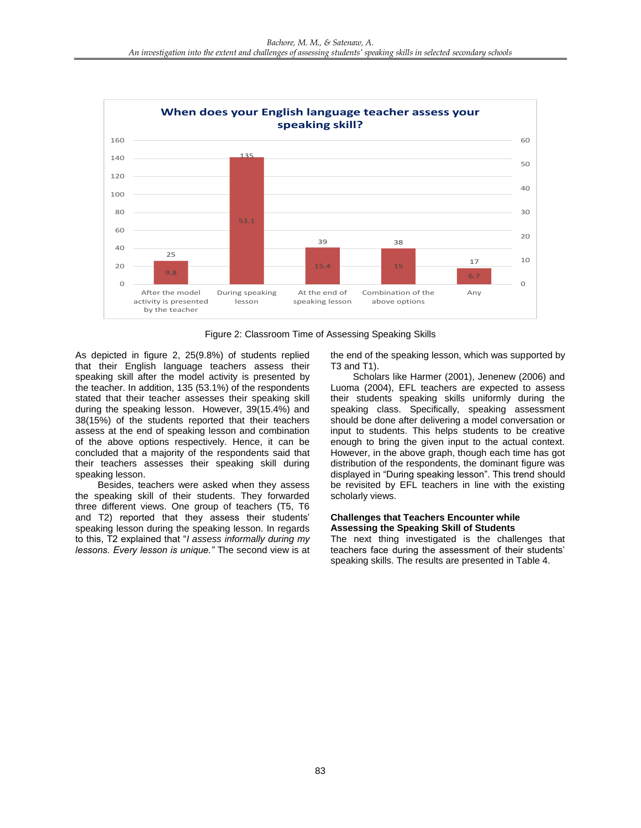

Figure 2: Classroom Time of Assessing Speaking Skills

As depicted in figure 2, 25(9.8%) of students replied that their English language teachers assess their speaking skill after the model activity is presented by the teacher. In addition, 135 (53.1%) of the respondents stated that their teacher assesses their speaking skill during the speaking lesson. However, 39(15.4%) and 38(15%) of the students reported that their teachers assess at the end of speaking lesson and combination of the above options respectively. Hence, it can be concluded that a majority of the respondents said that their teachers assesses their speaking skill during speaking lesson.

Besides, teachers were asked when they assess the speaking skill of their students. They forwarded three different views. One group of teachers (T5, T6 and T2) reported that they assess their students' speaking lesson during the speaking lesson. In regards to this, T2 explained that "*I assess informally during my lessons. Every lesson is unique."* The second view is at the end of the speaking lesson, which was supported by T3 and T1).

Scholars like Harmer (2001), Jenenew (2006) and Luoma (2004), EFL teachers are expected to assess their students speaking skills uniformly during the speaking class. Specifically, speaking assessment should be done after delivering a model conversation or input to students. This helps students to be creative enough to bring the given input to the actual context. However, in the above graph, though each time has got distribution of the respondents, the dominant figure was displayed in "During speaking lesson". This trend should be revisited by EFL teachers in line with the existing scholarly views.

#### **Challenges that Teachers Encounter while Assessing the Speaking Skill of Students**

The next thing investigated is the challenges that teachers face during the assessment of their students' speaking skills. The results are presented in Table 4.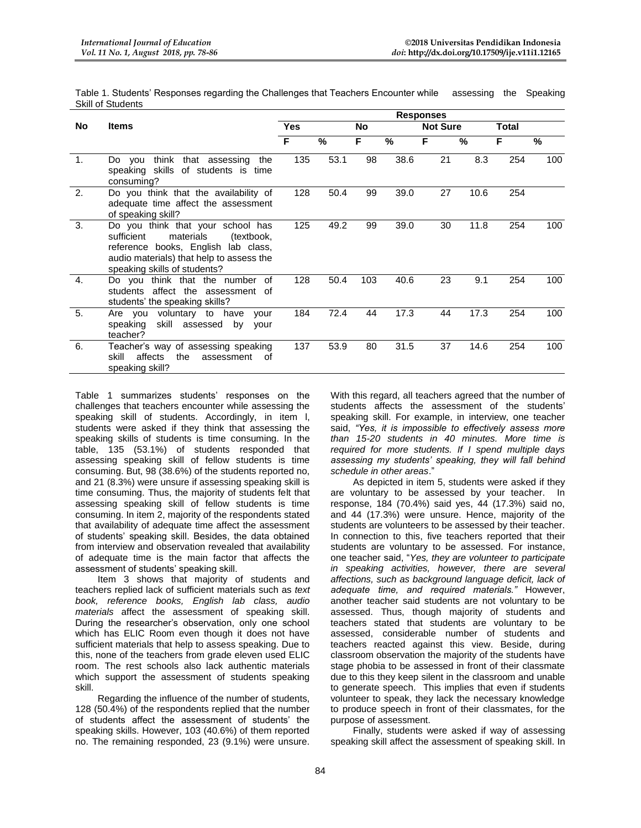| Table 1. Students' Responses regarding the Challenges that Teachers Encounter while assessing the Speaking |  |  |
|------------------------------------------------------------------------------------------------------------|--|--|
| Skill of Students                                                                                          |  |  |

|                |                                                                                                                                                                                                  | <b>Responses</b>        |               |     |               |                 |      |              |     |
|----------------|--------------------------------------------------------------------------------------------------------------------------------------------------------------------------------------------------|-------------------------|---------------|-----|---------------|-----------------|------|--------------|-----|
| <b>No</b>      | <b>Items</b>                                                                                                                                                                                     | <b>Yes</b><br><b>No</b> |               |     |               | <b>Not Sure</b> |      | <b>Total</b> |     |
|                |                                                                                                                                                                                                  | F                       | $\frac{0}{0}$ | F   | $\frac{0}{0}$ | F               | %    | F            | %   |
| $\mathbf{1}$ . | think<br>that assessing<br>the<br>Do you<br>speaking skills of students is time<br>consuming?                                                                                                    | 135                     | 53.1          | 98  | 38.6          | 21              | 8.3  | 254          | 100 |
| 2.             | Do you think that the availability of<br>adequate time affect the assessment<br>of speaking skill?                                                                                               | 128                     | 50.4          | 99  | 39.0          | 27              | 10.6 | 254          |     |
| 3.             | Do you think that your school has<br>sufficient<br>materials<br>(textbook,<br>reference books, English<br>lab class,<br>audio materials) that help to assess the<br>speaking skills of students? | 125                     | 49.2          | 99  | 39.0          | 30              | 11.8 | 254          | 100 |
| $\mathbf{4}$ . | Do you think that the number of<br>students affect the assessment of<br>students' the speaking skills?                                                                                           | 128                     | 50.4          | 103 | 40.6          | 23              | 9.1  | 254          | 100 |
| 5.             | Are you voluntary to have<br>your<br>speaking skill assessed<br>by<br>your<br>teacher?                                                                                                           | 184                     | 72.4          | 44  | 17.3          | 44              | 17.3 | 254          | 100 |
| 6.             | Teacher's way of assessing speaking<br>affects<br>the<br>skill<br>assessment<br>οf<br>speaking skill?                                                                                            | 137                     | 53.9          | 80  | 31.5          | 37              | 14.6 | 254          | 100 |

Table 1 summarizes students' responses on the challenges that teachers encounter while assessing the speaking skill of students. Accordingly, in item l, students were asked if they think that assessing the speaking skills of students is time consuming. In the table, 135 (53.1%) of students responded that assessing speaking skill of fellow students is time consuming. But, 98 (38.6%) of the students reported no, and 21 (8.3%) were unsure if assessing speaking skill is time consuming. Thus, the majority of students felt that assessing speaking skill of fellow students is time consuming. In item 2, majority of the respondents stated that availability of adequate time affect the assessment of students' speaking skill. Besides, the data obtained from interview and observation revealed that availability of adequate time is the main factor that affects the assessment of students' speaking skill.

Item 3 shows that majority of students and teachers replied lack of sufficient materials such as *text book, reference books, English lab class, audio materials* affect the assessment of speaking skill. During the researcher's observation, only one school which has ELIC Room even though it does not have sufficient materials that help to assess speaking. Due to this, none of the teachers from grade eleven used ELIC room. The rest schools also lack authentic materials which support the assessment of students speaking skill.

Regarding the influence of the number of students, 128 (50.4%) of the respondents replied that the number of students affect the assessment of students' the speaking skills. However, 103 (40.6%) of them reported no. The remaining responded, 23 (9.1%) were unsure. With this regard, all teachers agreed that the number of students affects the assessment of the students' speaking skill. For example, in interview, one teacher said, *"Yes, it is impossible to effectively assess more than 15-20 students in 40 minutes. More time is required for more students. If I spend multiple days assessing my students' speaking, they will fall behind schedule in other areas*."

As depicted in item 5, students were asked if they are voluntary to be assessed by your teacher. In response, 184 (70.4%) said yes, 44 (17.3%) said no, and 44 (17.3%) were unsure. Hence, majority of the students are volunteers to be assessed by their teacher. In connection to this, five teachers reported that their students are voluntary to be assessed. For instance, one teacher said, "*Yes, they are volunteer to participate in speaking activities, however, there are several affections, such as background language deficit, lack of adequate time, and required materials."* However, another teacher said students are not voluntary to be assessed. Thus, though majority of students and teachers stated that students are voluntary to be assessed, considerable number of students and teachers reacted against this view. Beside, during classroom observation the majority of the students have stage phobia to be assessed in front of their classmate due to this they keep silent in the classroom and unable to generate speech. This implies that even if students volunteer to speak, they lack the necessary knowledge to produce speech in front of their classmates, for the purpose of assessment.

Finally, students were asked if way of assessing speaking skill affect the assessment of speaking skill. In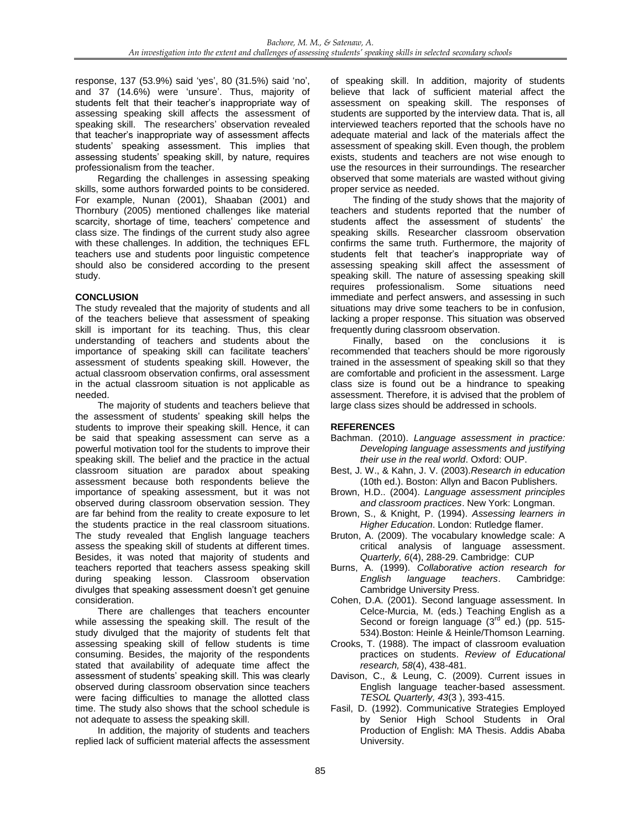response, 137 (53.9%) said 'yes', 80 (31.5%) said 'no', and 37 (14.6%) were 'unsure'. Thus, majority of students felt that their teacher's inappropriate way of assessing speaking skill affects the assessment of speaking skill. The researchers' observation revealed that teacher's inappropriate way of assessment affects students' speaking assessment. This implies that assessing students' speaking skill, by nature, requires professionalism from the teacher.

Regarding the challenges in assessing speaking skills, some authors forwarded points to be considered. For example, Nunan (2001), Shaaban (2001) and Thornbury (2005) mentioned challenges like material scarcity, shortage of time, teachers' competence and class size. The findings of the current study also agree with these challenges. In addition, the techniques EFL teachers use and students poor linguistic competence should also be considered according to the present study.

## **CONCLUSION**

The study revealed that the majority of students and all of the teachers believe that assessment of speaking skill is important for its teaching. Thus, this clear understanding of teachers and students about the importance of speaking skill can facilitate teachers' assessment of students speaking skill. However, the actual classroom observation confirms, oral assessment in the actual classroom situation is not applicable as needed.

The majority of students and teachers believe that the assessment of students' speaking skill helps the students to improve their speaking skill. Hence, it can be said that speaking assessment can serve as a powerful motivation tool for the students to improve their speaking skill. The belief and the practice in the actual classroom situation are paradox about speaking assessment because both respondents believe the importance of speaking assessment, but it was not observed during classroom observation session. They are far behind from the reality to create exposure to let the students practice in the real classroom situations. The study revealed that English language teachers assess the speaking skill of students at different times. Besides, it was noted that majority of students and teachers reported that teachers assess speaking skill during speaking lesson. Classroom observation divulges that speaking assessment doesn't get genuine consideration.

There are challenges that teachers encounter while assessing the speaking skill. The result of the study divulged that the majority of students felt that assessing speaking skill of fellow students is time consuming. Besides, the majority of the respondents stated that availability of adequate time affect the assessment of students' speaking skill. This was clearly observed during classroom observation since teachers were facing difficulties to manage the allotted class time. The study also shows that the school schedule is not adequate to assess the speaking skill.

In addition, the majority of students and teachers replied lack of sufficient material affects the assessment of speaking skill. In addition, majority of students believe that lack of sufficient material affect the assessment on speaking skill. The responses of students are supported by the interview data. That is, all interviewed teachers reported that the schools have no adequate material and lack of the materials affect the assessment of speaking skill. Even though, the problem exists, students and teachers are not wise enough to use the resources in their surroundings. The researcher observed that some materials are wasted without giving proper service as needed.

The finding of the study shows that the majority of teachers and students reported that the number of students affect the assessment of students' the speaking skills. Researcher classroom observation confirms the same truth. Furthermore, the majority of students felt that teacher's inappropriate way of assessing speaking skill affect the assessment of speaking skill. The nature of assessing speaking skill requires professionalism. Some situations need immediate and perfect answers, and assessing in such situations may drive some teachers to be in confusion, lacking a proper response. This situation was observed frequently during classroom observation.

Finally, based on the conclusions it is recommended that teachers should be more rigorously trained in the assessment of speaking skill so that they are comfortable and proficient in the assessment. Large class size is found out be a hindrance to speaking assessment. Therefore, it is advised that the problem of large class sizes should be addressed in schools.

## **REFERENCES**

- Bachman. (2010). *Language assessment in practice: Developing language assessments and justifying their use in the real world*. Oxford: OUP.
- Best, J. W., & Kahn, J. V. (2003).*Research in education* (10th ed.). Boston: Allyn and Bacon Publishers.
- Brown, H.D.. (2004). *Language assessment principles and classroom practices*. New York: Longman.
- Brown, S., & Knight, P. (1994). *Assessing learners in Higher Education*. London: Rutledge flamer.
- Bruton, A. (2009). The vocabulary knowledge scale: A critical analysis of language assessment. *Quarterly, 6*(4), 288-29. Cambridge: CUP
- Burns, A. (1999). *Collaborative action research for English language teachers*. Cambridge: Cambridge University Press.
- Cohen, D.A. (2001). Second language assessment. In Celce-Murcia, M. (eds.) Teaching English as a Second or foreign language  $(3<sup>rd</sup>$  ed.) (pp. 515-534).Boston: Heinle & Heinle/Thomson Learning.
- Crooks, T. (1988). The impact of classroom evaluation practices on students. *Review of Educational research, 58*(4), 438-481.
- Davison, C., & Leung, C. (2009). Current issues in English language teacher-based assessment. *TESOL Quarterly, 43*(3 ), 393-415.
- Fasil, D. (1992). Communicative Strategies Employed by Senior High School Students in Oral Production of English: MA Thesis. Addis Ababa University.